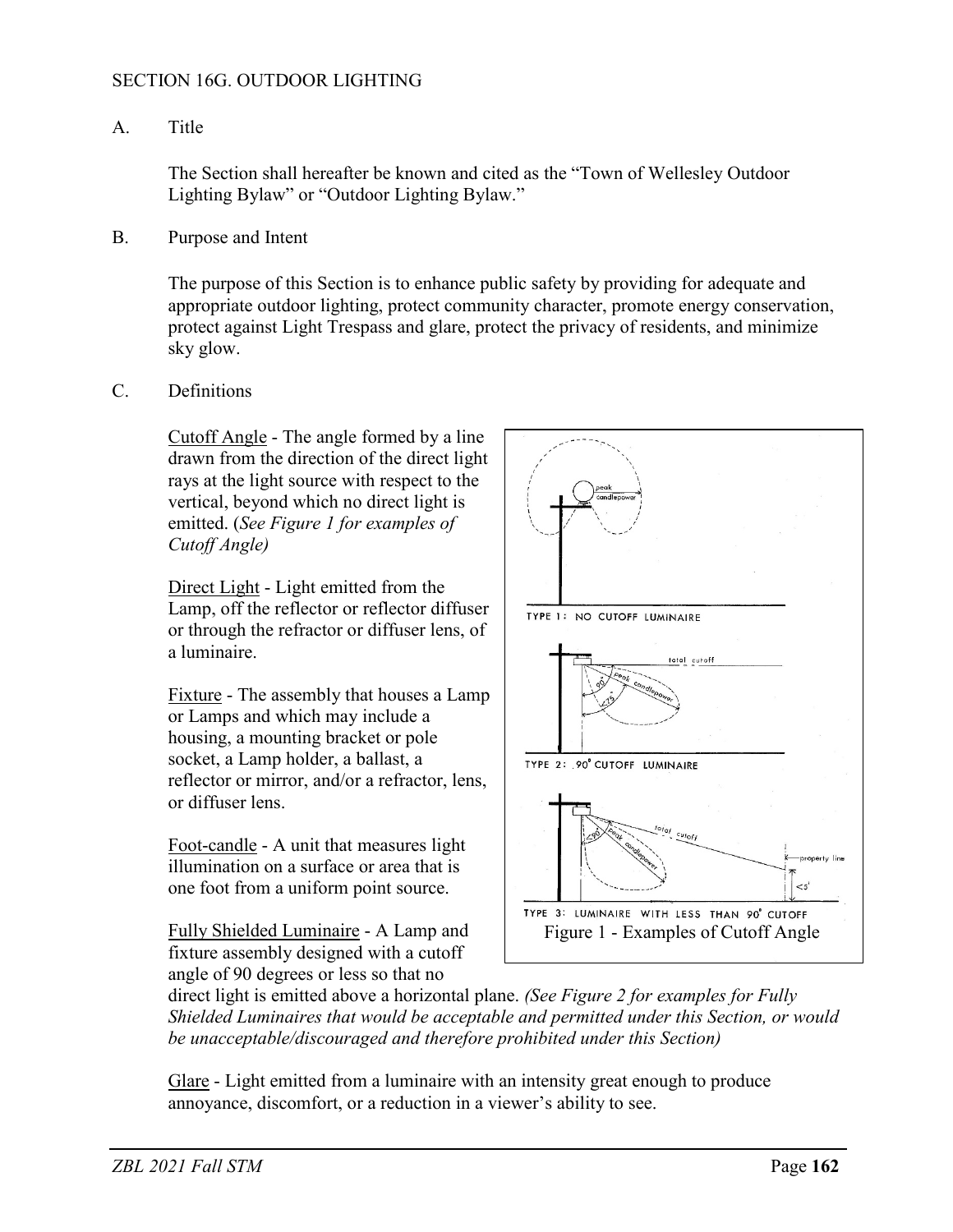## SECTION 16G. OUTDOOR LIGHTING

## A. Title

The Section shall hereafter be known and cited as the "Town of Wellesley Outdoor Lighting Bylaw" or "Outdoor Lighting Bylaw."

B. Purpose and Intent

The purpose of this Section is to enhance public safety by providing for adequate and appropriate outdoor lighting, protect community character, promote energy conservation, protect against Light Trespass and glare, protect the privacy of residents, and minimize sky glow.

C. Definitions

Cutoff Angle - The angle formed by a line drawn from the direction of the direct light rays at the light source with respect to the vertical, beyond which no direct light is emitted. (*See Figure 1 for examples of Cutoff Angle)* 

Direct Light - Light emitted from the Lamp, off the reflector or reflector diffuser or through the refractor or diffuser lens, of a luminaire.

Fixture - The assembly that houses a Lamp or Lamps and which may include a housing, a mounting bracket or pole socket, a Lamp holder, a ballast, a reflector or mirror, and/or a refractor, lens, or diffuser lens.

Foot-candle - A unit that measures light illumination on a surface or area that is one foot from a uniform point source.

Fully Shielded Luminaire - A Lamp and fixture assembly designed with a cutoff angle of 90 degrees or less so that no



direct light is emitted above a horizontal plane. *(See Figure 2 for examples for Fully Shielded Luminaires that would be acceptable and permitted under this Section, or would be unacceptable/discouraged and therefore prohibited under this Section)*

Glare - Light emitted from a luminaire with an intensity great enough to produce annoyance, discomfort, or a reduction in a viewer's ability to see.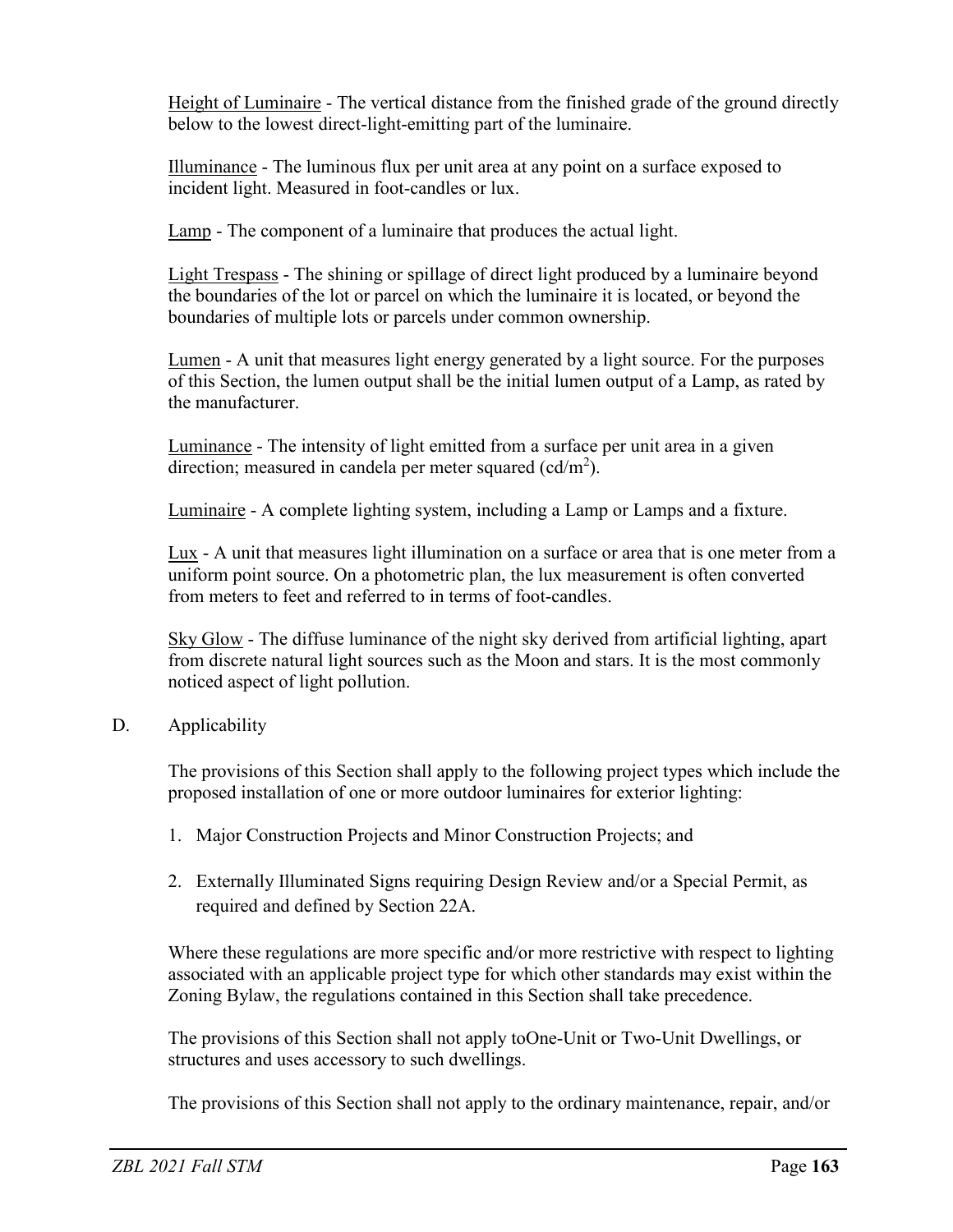Height of Luminaire - The vertical distance from the finished grade of the ground directly below to the lowest direct-light-emitting part of the luminaire.

Illuminance - The luminous flux per unit area at any point on a surface exposed to incident light. Measured in foot-candles or lux.

Lamp - The component of a luminaire that produces the actual light.

Light Trespass - The shining or spillage of direct light produced by a luminaire beyond the boundaries of the lot or parcel on which the luminaire it is located, or beyond the boundaries of multiple lots or parcels under common ownership.

Lumen - A unit that measures light energy generated by a light source. For the purposes of this Section, the lumen output shall be the initial lumen output of a Lamp, as rated by the manufacturer.

Luminance - The intensity of light emitted from a surface per unit area in a given direction; measured in candela per meter squared (cd/m<sup>2</sup>).

Luminaire - A complete lighting system, including a Lamp or Lamps and a fixture.

Lux - A unit that measures light illumination on a surface or area that is one meter from a uniform point source. On a photometric plan, the lux measurement is often converted from meters to feet and referred to in terms of foot-candles.

Sky Glow - The diffuse luminance of the night sky derived from artificial lighting, apart from discrete natural light sources such as the Moon and stars. It is the most commonly noticed aspect of light pollution.

## D. Applicability

The provisions of this Section shall apply to the following project types which include the proposed installation of one or more outdoor luminaires for exterior lighting:

- 1. Major Construction Projects and Minor Construction Projects; and
- 2. Externally Illuminated Signs requiring Design Review and/or a Special Permit, as required and defined by Section 22A.

Where these regulations are more specific and/or more restrictive with respect to lighting associated with an applicable project type for which other standards may exist within the Zoning Bylaw, the regulations contained in this Section shall take precedence.

The provisions of this Section shall not apply toOne-Unit or Two-Unit Dwellings, or structures and uses accessory to such dwellings.

The provisions of this Section shall not apply to the ordinary maintenance, repair, and/or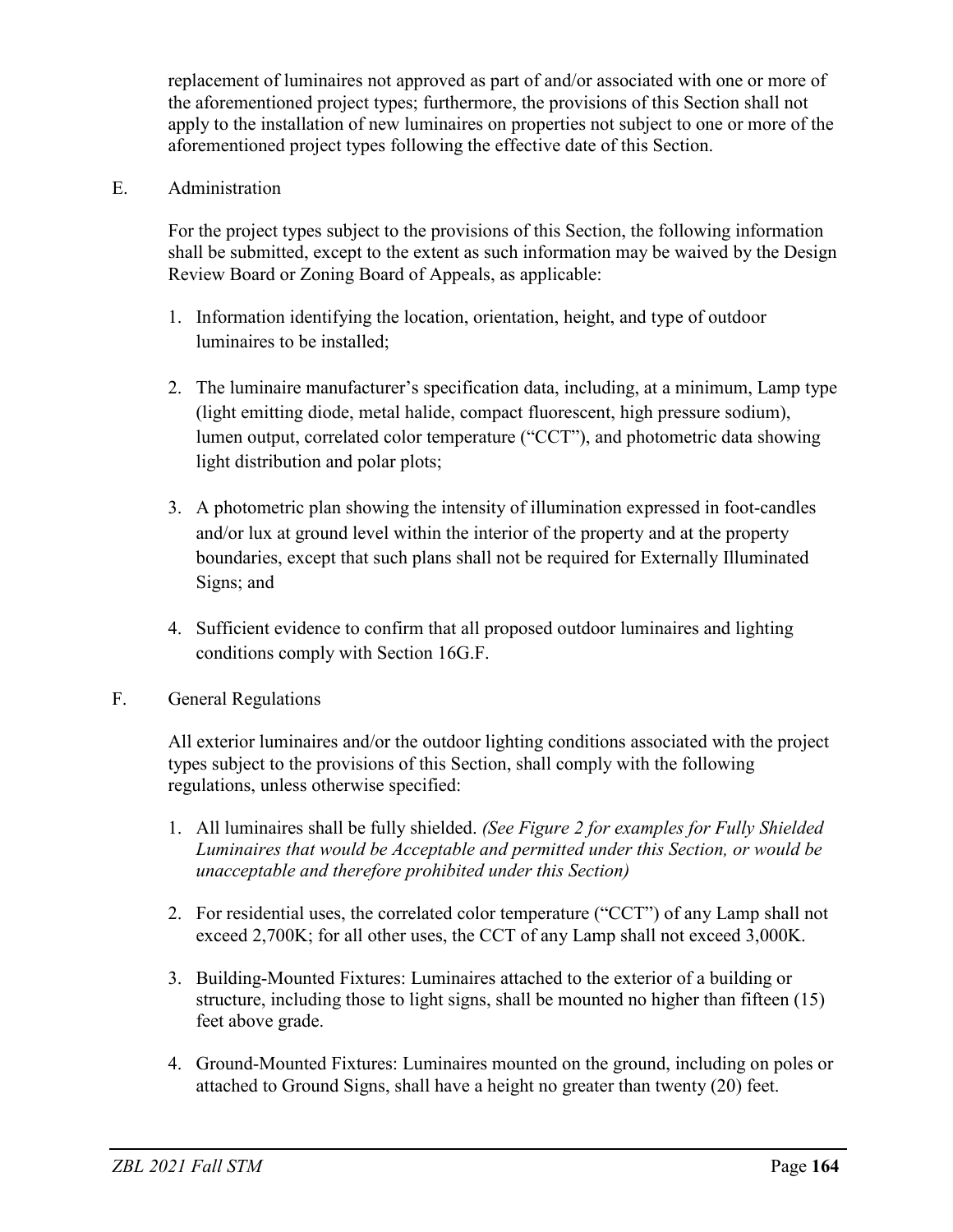replacement of luminaires not approved as part of and/or associated with one or more of the aforementioned project types; furthermore, the provisions of this Section shall not apply to the installation of new luminaires on properties not subject to one or more of the aforementioned project types following the effective date of this Section.

E. Administration

For the project types subject to the provisions of this Section, the following information shall be submitted, except to the extent as such information may be waived by the Design Review Board or Zoning Board of Appeals, as applicable:

- 1. Information identifying the location, orientation, height, and type of outdoor luminaires to be installed;
- 2. The luminaire manufacturer's specification data, including, at a minimum, Lamp type (light emitting diode, metal halide, compact fluorescent, high pressure sodium), lumen output, correlated color temperature ("CCT"), and photometric data showing light distribution and polar plots;
- 3. A photometric plan showing the intensity of illumination expressed in foot-candles and/or lux at ground level within the interior of the property and at the property boundaries, except that such plans shall not be required for Externally Illuminated Signs; and
- 4. Sufficient evidence to confirm that all proposed outdoor luminaires and lighting conditions comply with Section 16G.F.
- F. General Regulations

All exterior luminaires and/or the outdoor lighting conditions associated with the project types subject to the provisions of this Section, shall comply with the following regulations, unless otherwise specified:

- 1. All luminaires shall be fully shielded. *(See Figure 2 for examples for Fully Shielded Luminaires that would be Acceptable and permitted under this Section, or would be unacceptable and therefore prohibited under this Section)*
- 2. For residential uses, the correlated color temperature ("CCT") of any Lamp shall not exceed 2,700K; for all other uses, the CCT of any Lamp shall not exceed 3,000K.
- 3. Building-Mounted Fixtures: Luminaires attached to the exterior of a building or structure, including those to light signs, shall be mounted no higher than fifteen (15) feet above grade.
- 4. Ground-Mounted Fixtures: Luminaires mounted on the ground, including on poles or attached to Ground Signs, shall have a height no greater than twenty (20) feet.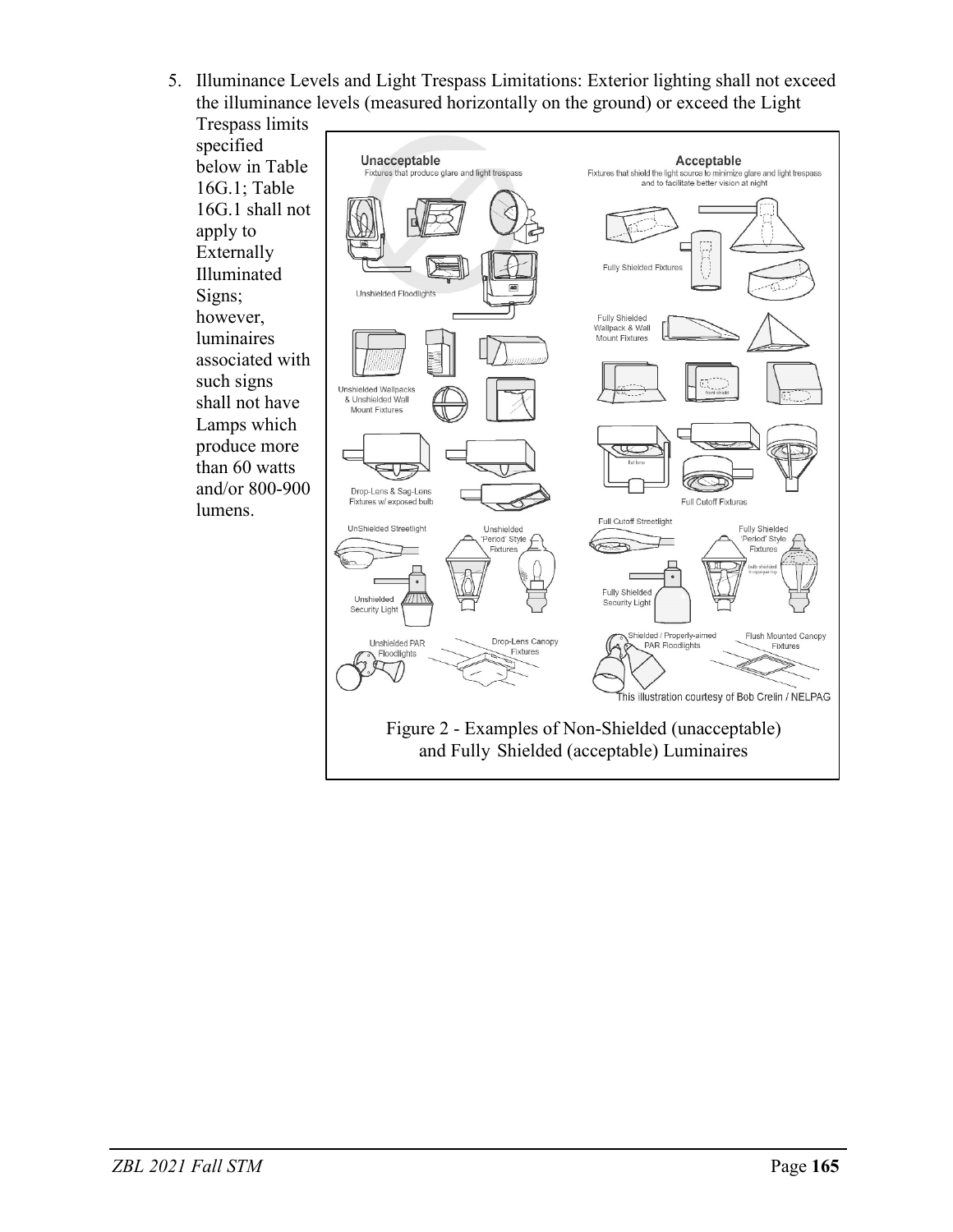5. Illuminance Levels and Light Trespass Limitations: Exterior lighting shall not exceed the illuminance levels (measured horizontally on the ground) or exceed the Light

Trespass limits specified below in Table 16G.1; Table 16G.1 shall not apply to Externally Illuminated Signs; however, luminaires associated with such signs shall not have Lamps which produce more than 60 watts and/or 800-900 lumens.

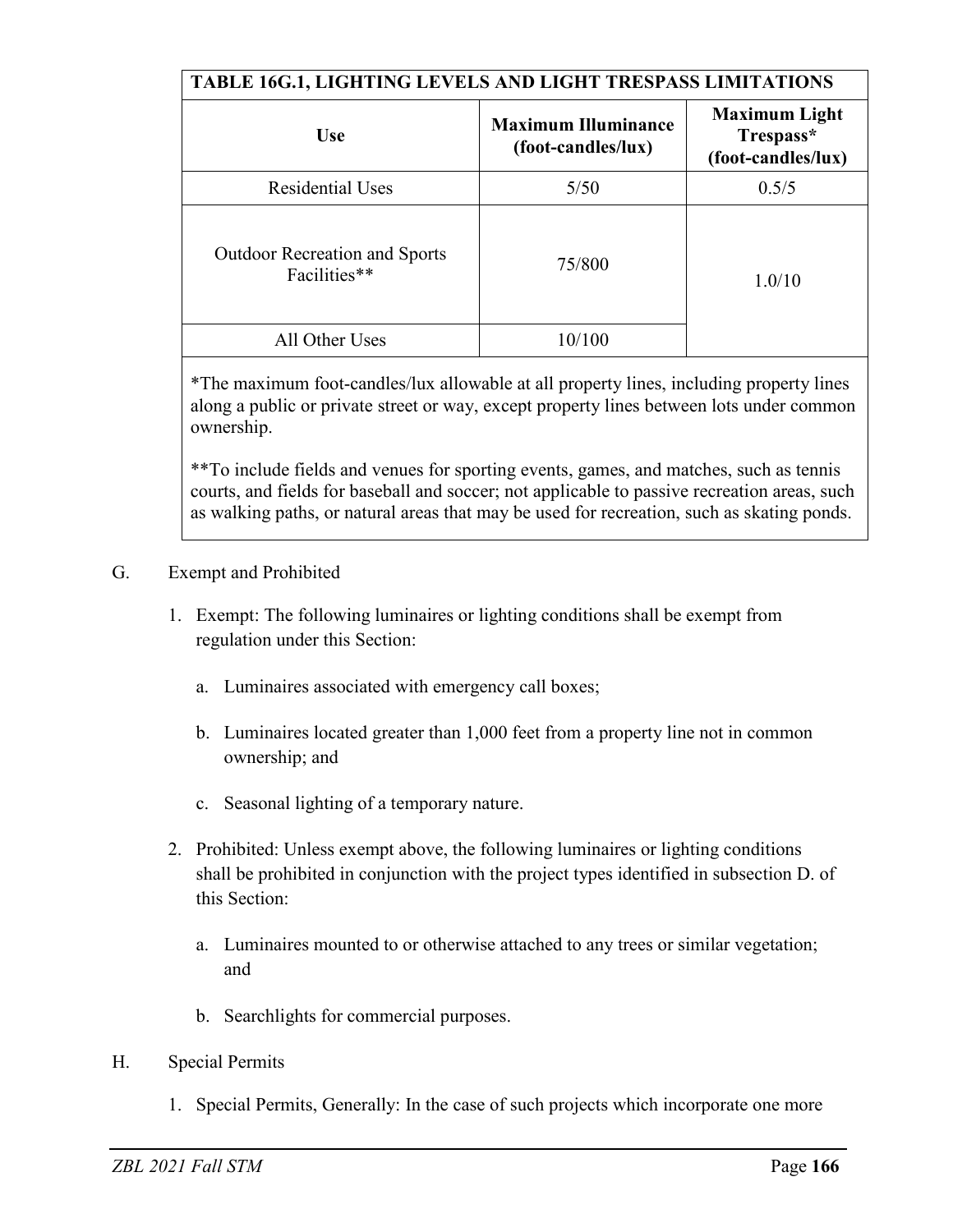| <b>TABLE 16G.1, LIGHTING LEVELS AND LIGHT TRESPASS LIMITATIONS</b> |                                                  |                                                         |
|--------------------------------------------------------------------|--------------------------------------------------|---------------------------------------------------------|
| <b>Use</b>                                                         | <b>Maximum Illuminance</b><br>(foot-candles/lux) | <b>Maximum Light</b><br>Trespass*<br>(foot-candles/lux) |
| <b>Residential Uses</b>                                            | 5/50                                             | 0.5/5                                                   |
| <b>Outdoor Recreation and Sports</b><br>Facilities**               | 75/800                                           | 1.0/10                                                  |
| All Other Uses                                                     | 10/100                                           |                                                         |

\*The maximum foot-candles/lux allowable at all property lines, including property lines along a public or private street or way, except property lines between lots under common ownership.

\*\*To include fields and venues for sporting events, games, and matches, such as tennis courts, and fields for baseball and soccer; not applicable to passive recreation areas, such as walking paths, or natural areas that may be used for recreation, such as skating ponds.

## G. Exempt and Prohibited

- 1. Exempt: The following luminaires or lighting conditions shall be exempt from regulation under this Section:
	- a. Luminaires associated with emergency call boxes;
	- b. Luminaires located greater than 1,000 feet from a property line not in common ownership; and
	- c. Seasonal lighting of a temporary nature.
- 2. Prohibited: Unless exempt above, the following luminaires or lighting conditions shall be prohibited in conjunction with the project types identified in subsection D. of this Section:
	- a. Luminaires mounted to or otherwise attached to any trees or similar vegetation; and
	- b. Searchlights for commercial purposes.
- H. Special Permits
	- 1. Special Permits, Generally: In the case of such projects which incorporate one more